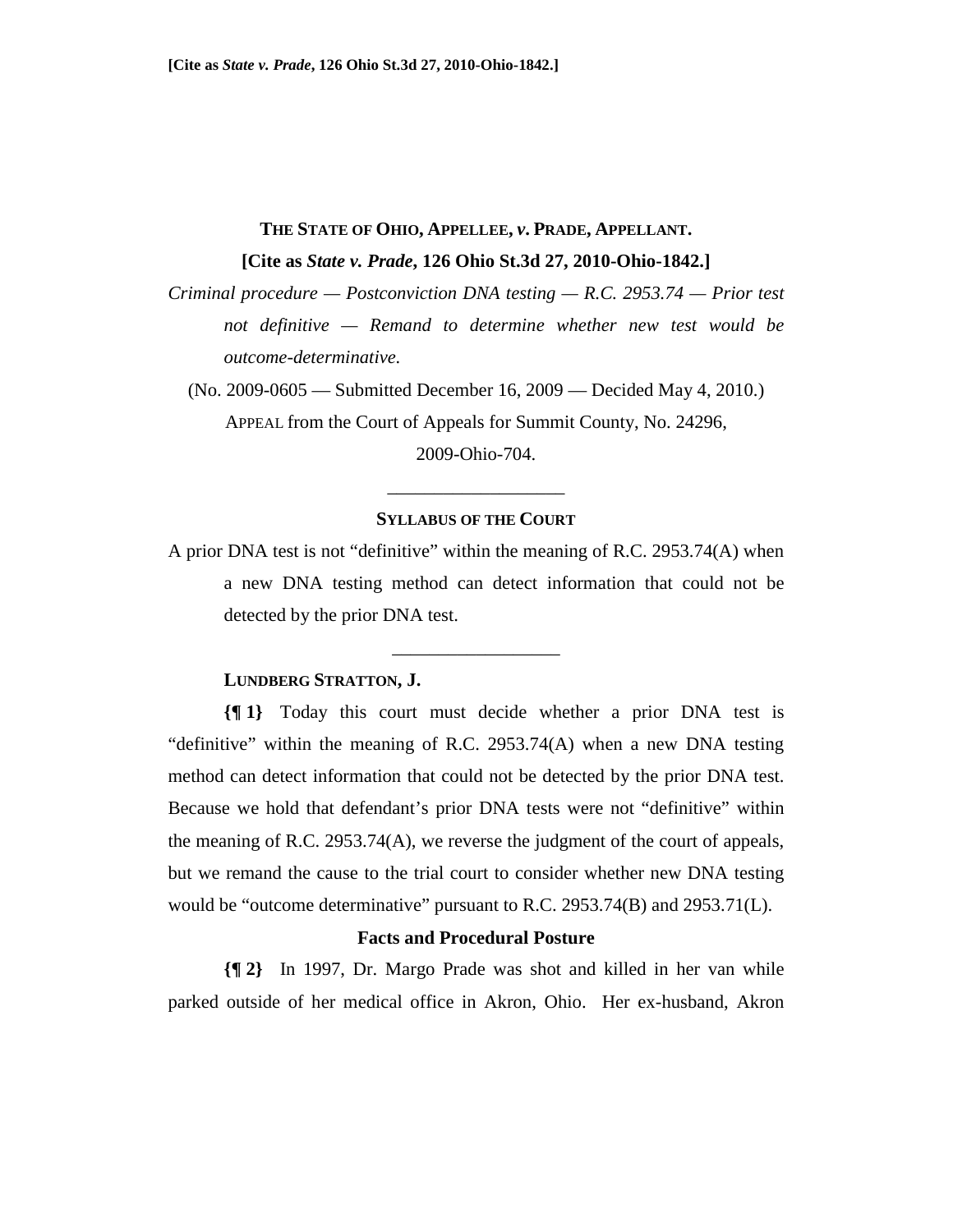# **THE STATE OF OHIO, APPELLEE,** *v***. PRADE, APPELLANT. [Cite as** *State v. Prade***, 126 Ohio St.3d 27, 2010-Ohio-1842.]**

*Criminal procedure — Postconviction DNA testing — R.C. 2953.74 — Prior test not definitive — Remand to determine whether new test would be outcome-determinative.* 

(No. 2009-0605 — Submitted December 16, 2009 — Decided May 4, 2010.) APPEAL from the Court of Appeals for Summit County, No. 24296,

2009-Ohio-704.

#### **SYLLABUS OF THE COURT**

\_\_\_\_\_\_\_\_\_\_\_\_\_\_\_\_\_\_\_

A prior DNA test is not "definitive" within the meaning of R.C. 2953.74(A) when a new DNA testing method can detect information that could not be detected by the prior DNA test.

\_\_\_\_\_\_\_\_\_\_\_\_\_\_\_\_\_\_

## **LUNDBERG STRATTON, J.**

**{¶ 1}** Today this court must decide whether a prior DNA test is "definitive" within the meaning of R.C. 2953.74(A) when a new DNA testing method can detect information that could not be detected by the prior DNA test. Because we hold that defendant's prior DNA tests were not "definitive" within the meaning of R.C. 2953.74(A), we reverse the judgment of the court of appeals, but we remand the cause to the trial court to consider whether new DNA testing would be "outcome determinative" pursuant to R.C. 2953.74(B) and 2953.71(L).

### **Facts and Procedural Posture**

**{¶ 2}** In 1997, Dr. Margo Prade was shot and killed in her van while parked outside of her medical office in Akron, Ohio. Her ex-husband, Akron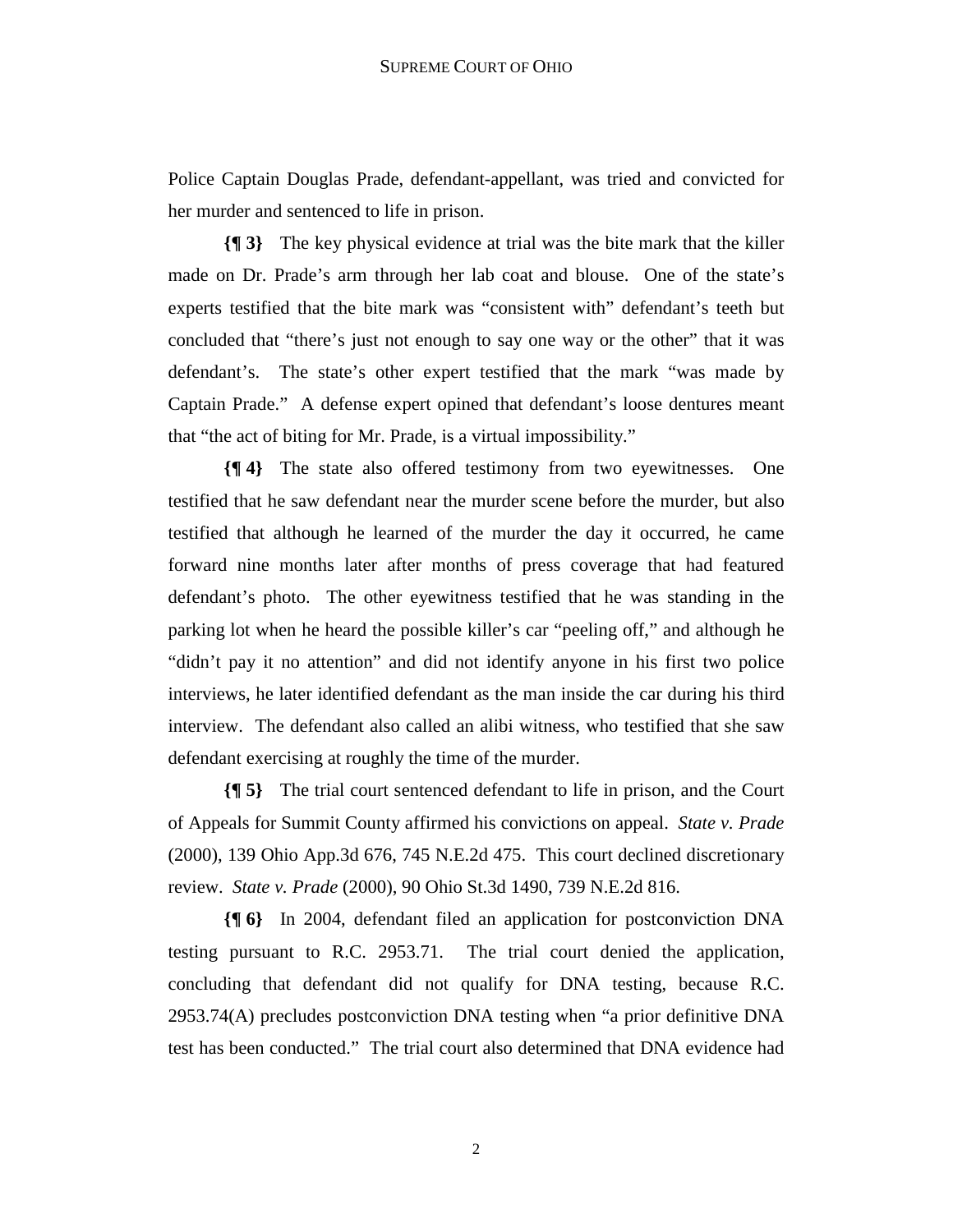Police Captain Douglas Prade, defendant-appellant, was tried and convicted for her murder and sentenced to life in prison.

**{¶ 3}** The key physical evidence at trial was the bite mark that the killer made on Dr. Prade's arm through her lab coat and blouse. One of the state's experts testified that the bite mark was "consistent with" defendant's teeth but concluded that "there's just not enough to say one way or the other" that it was defendant's. The state's other expert testified that the mark "was made by Captain Prade." A defense expert opined that defendant's loose dentures meant that "the act of biting for Mr. Prade, is a virtual impossibility."

**{¶ 4}** The state also offered testimony from two eyewitnesses. One testified that he saw defendant near the murder scene before the murder, but also testified that although he learned of the murder the day it occurred, he came forward nine months later after months of press coverage that had featured defendant's photo. The other eyewitness testified that he was standing in the parking lot when he heard the possible killer's car "peeling off," and although he "didn't pay it no attention" and did not identify anyone in his first two police interviews, he later identified defendant as the man inside the car during his third interview. The defendant also called an alibi witness, who testified that she saw defendant exercising at roughly the time of the murder.

**{¶ 5}** The trial court sentenced defendant to life in prison, and the Court of Appeals for Summit County affirmed his convictions on appeal. *State v. Prade* (2000), 139 Ohio App.3d 676, 745 N.E.2d 475. This court declined discretionary review. *State v. Prade* (2000), 90 Ohio St.3d 1490, 739 N.E.2d 816.

**{¶ 6}** In 2004, defendant filed an application for postconviction DNA testing pursuant to R.C. 2953.71. The trial court denied the application, concluding that defendant did not qualify for DNA testing, because R.C. 2953.74(A) precludes postconviction DNA testing when "a prior definitive DNA test has been conducted." The trial court also determined that DNA evidence had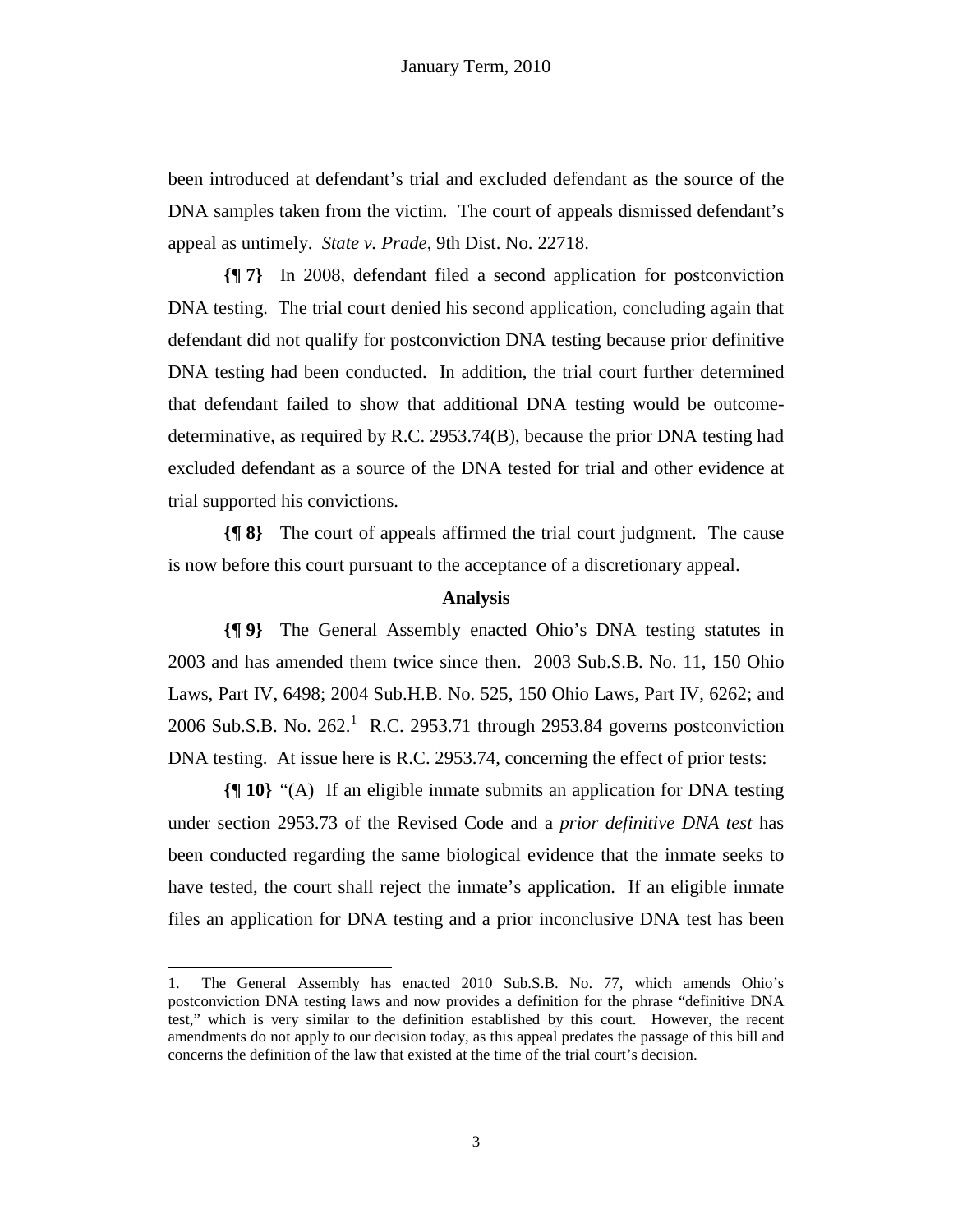been introduced at defendant's trial and excluded defendant as the source of the DNA samples taken from the victim. The court of appeals dismissed defendant's appeal as untimely. *State v. Prade*, 9th Dist. No. 22718.

**{¶ 7}** In 2008, defendant filed a second application for postconviction DNA testing. The trial court denied his second application, concluding again that defendant did not qualify for postconviction DNA testing because prior definitive DNA testing had been conducted. In addition, the trial court further determined that defendant failed to show that additional DNA testing would be outcomedeterminative, as required by R.C. 2953.74(B), because the prior DNA testing had excluded defendant as a source of the DNA tested for trial and other evidence at trial supported his convictions.

**{¶ 8}** The court of appeals affirmed the trial court judgment. The cause is now before this court pursuant to the acceptance of a discretionary appeal.

## **Analysis**

**{¶ 9}** The General Assembly enacted Ohio's DNA testing statutes in 2003 and has amended them twice since then. 2003 Sub.S.B. No. 11, 150 Ohio Laws, Part IV, 6498; 2004 Sub.H.B. No. 525, 150 Ohio Laws, Part IV, 6262; and 2006 Sub.S.B. No.  $262<sup>1</sup>$  R.C. 2953.71 through 2953.84 governs postconviction DNA testing. At issue here is R.C. 2953.74, concerning the effect of prior tests:

**{¶ 10}** "(A) If an eligible inmate submits an application for DNA testing under section 2953.73 of the Revised Code and a *prior definitive DNA test* has been conducted regarding the same biological evidence that the inmate seeks to have tested, the court shall reject the inmate's application. If an eligible inmate files an application for DNA testing and a prior inconclusive DNA test has been

-

<sup>1.</sup> The General Assembly has enacted 2010 Sub.S.B. No. 77, which amends Ohio's postconviction DNA testing laws and now provides a definition for the phrase "definitive DNA test," which is very similar to the definition established by this court. However, the recent amendments do not apply to our decision today, as this appeal predates the passage of this bill and concerns the definition of the law that existed at the time of the trial court's decision.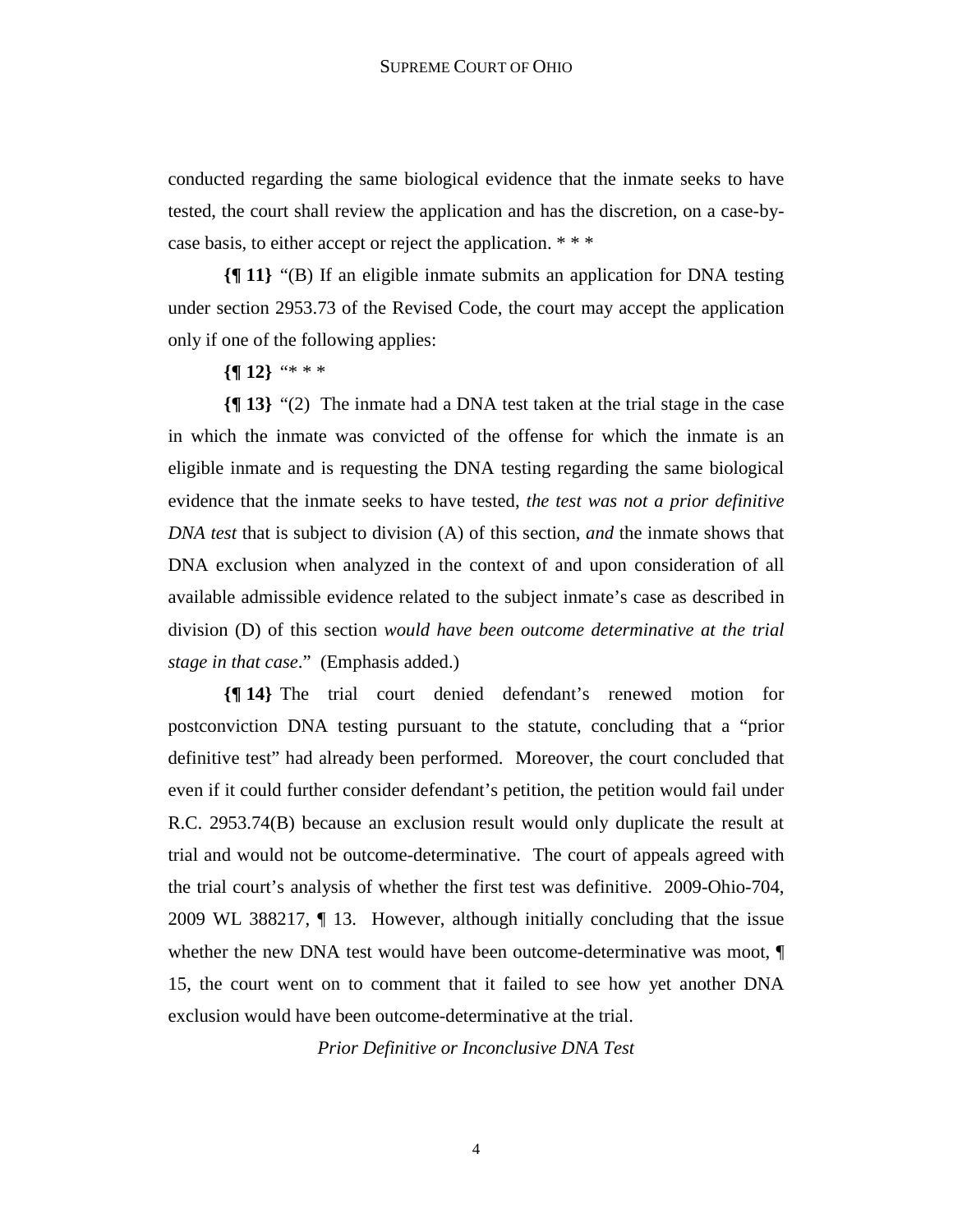conducted regarding the same biological evidence that the inmate seeks to have tested, the court shall review the application and has the discretion, on a case-bycase basis, to either accept or reject the application. \* \* \*

**{¶ 11}** "(B) If an eligible inmate submits an application for DNA testing under section 2953.73 of the Revised Code, the court may accept the application only if one of the following applies:

## **{¶ 12}** "\* \* \*

**{¶ 13}** "(2) The inmate had a DNA test taken at the trial stage in the case in which the inmate was convicted of the offense for which the inmate is an eligible inmate and is requesting the DNA testing regarding the same biological evidence that the inmate seeks to have tested, *the test was not a prior definitive DNA test* that is subject to division (A) of this section, *and* the inmate shows that DNA exclusion when analyzed in the context of and upon consideration of all available admissible evidence related to the subject inmate's case as described in division (D) of this section *would have been outcome determinative at the trial stage in that case*." (Emphasis added.)

**{¶ 14}** The trial court denied defendant's renewed motion for postconviction DNA testing pursuant to the statute, concluding that a "prior definitive test" had already been performed. Moreover, the court concluded that even if it could further consider defendant's petition, the petition would fail under R.C. 2953.74(B) because an exclusion result would only duplicate the result at trial and would not be outcome-determinative. The court of appeals agreed with the trial court's analysis of whether the first test was definitive. 2009-Ohio-704, 2009 WL 388217, ¶ 13. However, although initially concluding that the issue whether the new DNA test would have been outcome-determinative was moot,  $\P$ 15, the court went on to comment that it failed to see how yet another DNA exclusion would have been outcome-determinative at the trial.

*Prior Definitive or Inconclusive DNA Test*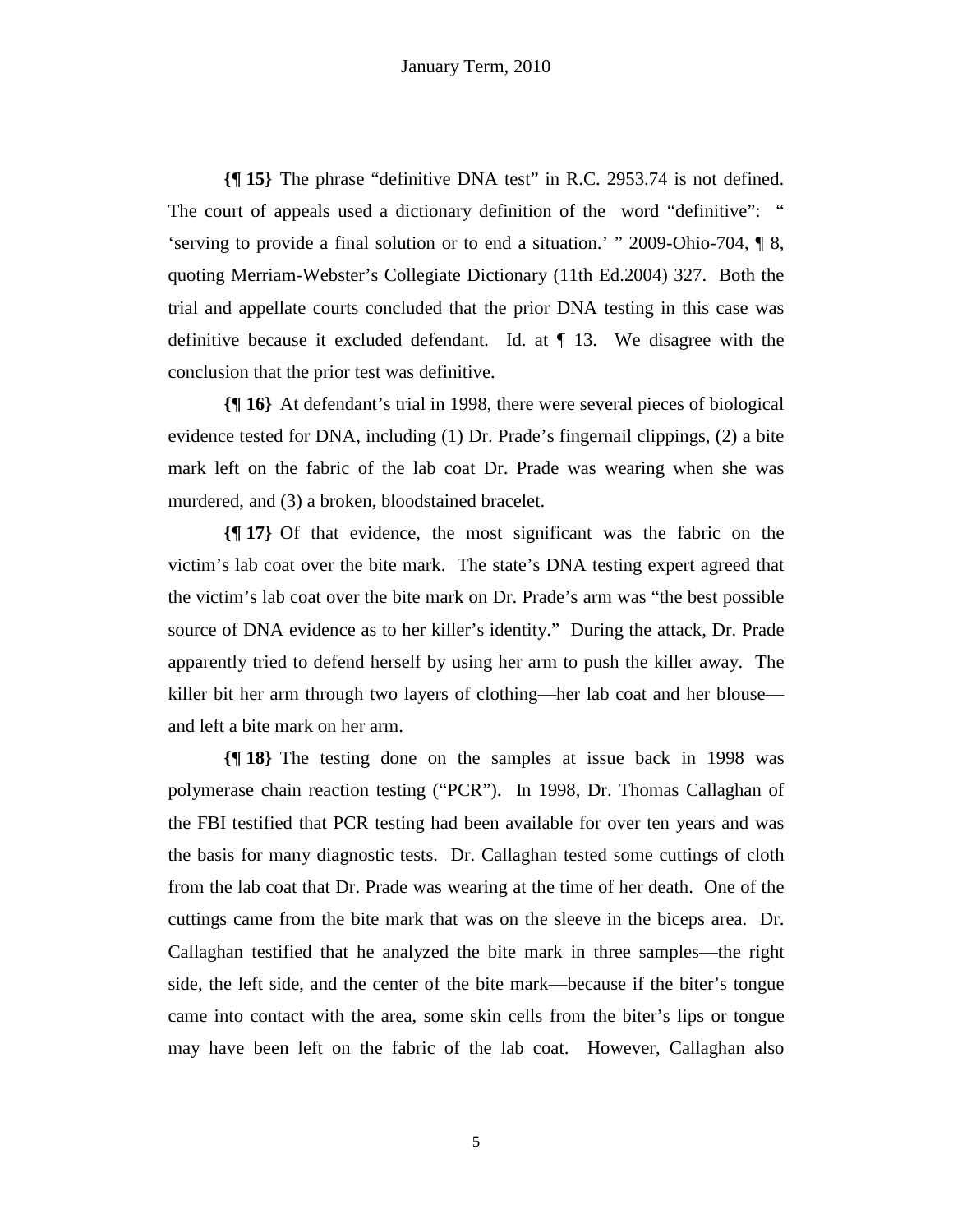**{¶ 15}** The phrase "definitive DNA test" in R.C. 2953.74 is not defined. The court of appeals used a dictionary definition of the word "definitive": " 'serving to provide a final solution or to end a situation.' " 2009-Ohio-704, ¶ 8, quoting Merriam-Webster's Collegiate Dictionary (11th Ed.2004) 327. Both the trial and appellate courts concluded that the prior DNA testing in this case was definitive because it excluded defendant. Id. at  $\P$  13. We disagree with the conclusion that the prior test was definitive.

**{¶ 16}** At defendant's trial in 1998, there were several pieces of biological evidence tested for DNA, including (1) Dr. Prade's fingernail clippings, (2) a bite mark left on the fabric of the lab coat Dr. Prade was wearing when she was murdered, and (3) a broken, bloodstained bracelet.

**{¶ 17}** Of that evidence, the most significant was the fabric on the victim's lab coat over the bite mark. The state's DNA testing expert agreed that the victim's lab coat over the bite mark on Dr. Prade's arm was "the best possible source of DNA evidence as to her killer's identity." During the attack, Dr. Prade apparently tried to defend herself by using her arm to push the killer away. The killer bit her arm through two layers of clothing—her lab coat and her blouse and left a bite mark on her arm.

**{¶ 18}** The testing done on the samples at issue back in 1998 was polymerase chain reaction testing ("PCR"). In 1998, Dr. Thomas Callaghan of the FBI testified that PCR testing had been available for over ten years and was the basis for many diagnostic tests. Dr. Callaghan tested some cuttings of cloth from the lab coat that Dr. Prade was wearing at the time of her death. One of the cuttings came from the bite mark that was on the sleeve in the biceps area. Dr. Callaghan testified that he analyzed the bite mark in three samples—the right side, the left side, and the center of the bite mark—because if the biter's tongue came into contact with the area, some skin cells from the biter's lips or tongue may have been left on the fabric of the lab coat. However, Callaghan also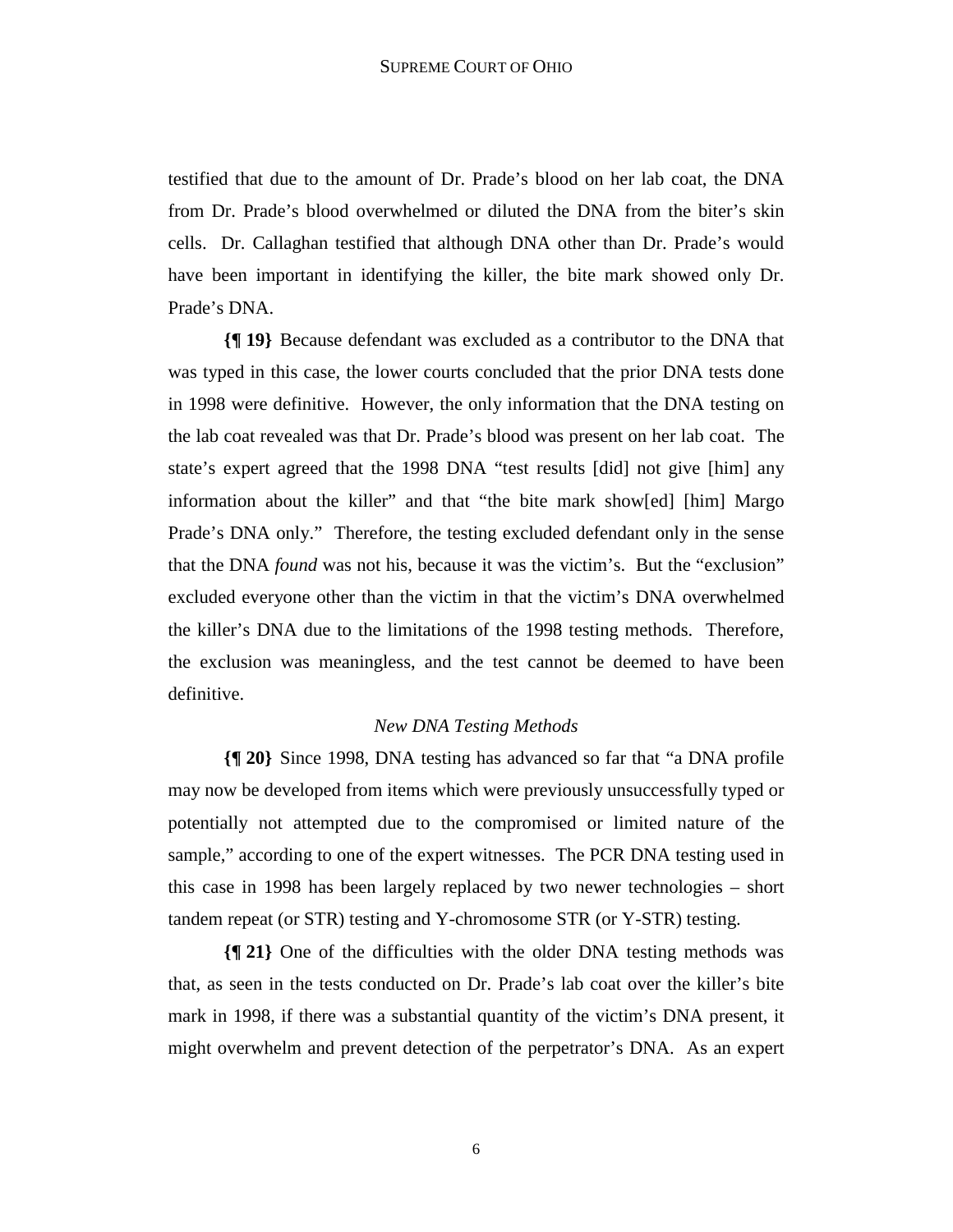testified that due to the amount of Dr. Prade's blood on her lab coat, the DNA from Dr. Prade's blood overwhelmed or diluted the DNA from the biter's skin cells. Dr. Callaghan testified that although DNA other than Dr. Prade's would have been important in identifying the killer, the bite mark showed only Dr. Prade's DNA.

**{¶ 19}** Because defendant was excluded as a contributor to the DNA that was typed in this case, the lower courts concluded that the prior DNA tests done in 1998 were definitive. However, the only information that the DNA testing on the lab coat revealed was that Dr. Prade's blood was present on her lab coat. The state's expert agreed that the 1998 DNA "test results [did] not give [him] any information about the killer" and that "the bite mark show[ed] [him] Margo Prade's DNA only." Therefore, the testing excluded defendant only in the sense that the DNA *found* was not his, because it was the victim's. But the "exclusion" excluded everyone other than the victim in that the victim's DNA overwhelmed the killer's DNA due to the limitations of the 1998 testing methods. Therefore, the exclusion was meaningless, and the test cannot be deemed to have been definitive.

# *New DNA Testing Methods*

**{¶ 20}** Since 1998, DNA testing has advanced so far that "a DNA profile may now be developed from items which were previously unsuccessfully typed or potentially not attempted due to the compromised or limited nature of the sample," according to one of the expert witnesses. The PCR DNA testing used in this case in 1998 has been largely replaced by two newer technologies – short tandem repeat (or STR) testing and Y-chromosome STR (or Y-STR) testing.

**{¶ 21}** One of the difficulties with the older DNA testing methods was that, as seen in the tests conducted on Dr. Prade's lab coat over the killer's bite mark in 1998, if there was a substantial quantity of the victim's DNA present, it might overwhelm and prevent detection of the perpetrator's DNA. As an expert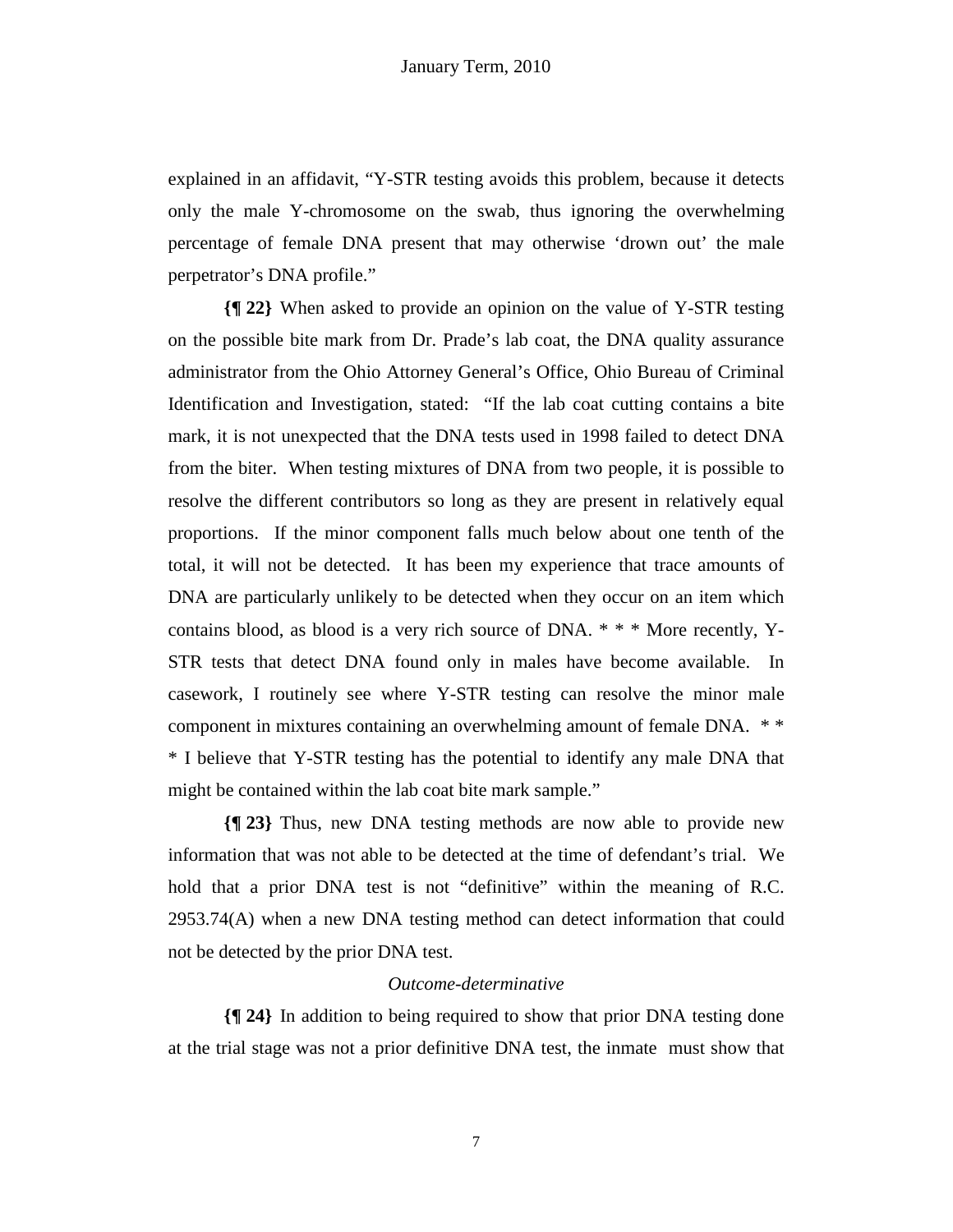explained in an affidavit, "Y-STR testing avoids this problem, because it detects only the male Y-chromosome on the swab, thus ignoring the overwhelming percentage of female DNA present that may otherwise 'drown out' the male perpetrator's DNA profile."

**{¶ 22}** When asked to provide an opinion on the value of Y-STR testing on the possible bite mark from Dr. Prade's lab coat, the DNA quality assurance administrator from the Ohio Attorney General's Office, Ohio Bureau of Criminal Identification and Investigation, stated: "If the lab coat cutting contains a bite mark, it is not unexpected that the DNA tests used in 1998 failed to detect DNA from the biter. When testing mixtures of DNA from two people, it is possible to resolve the different contributors so long as they are present in relatively equal proportions. If the minor component falls much below about one tenth of the total, it will not be detected. It has been my experience that trace amounts of DNA are particularly unlikely to be detected when they occur on an item which contains blood, as blood is a very rich source of DNA. \* \* \* More recently, Y-STR tests that detect DNA found only in males have become available. In casework, I routinely see where Y-STR testing can resolve the minor male component in mixtures containing an overwhelming amount of female DNA. \* \* \* I believe that Y-STR testing has the potential to identify any male DNA that might be contained within the lab coat bite mark sample."

**{¶ 23}** Thus, new DNA testing methods are now able to provide new information that was not able to be detected at the time of defendant's trial. We hold that a prior DNA test is not "definitive" within the meaning of R.C. 2953.74(A) when a new DNA testing method can detect information that could not be detected by the prior DNA test.

## *Outcome-determinative*

**{¶ 24}** In addition to being required to show that prior DNA testing done at the trial stage was not a prior definitive DNA test, the inmate must show that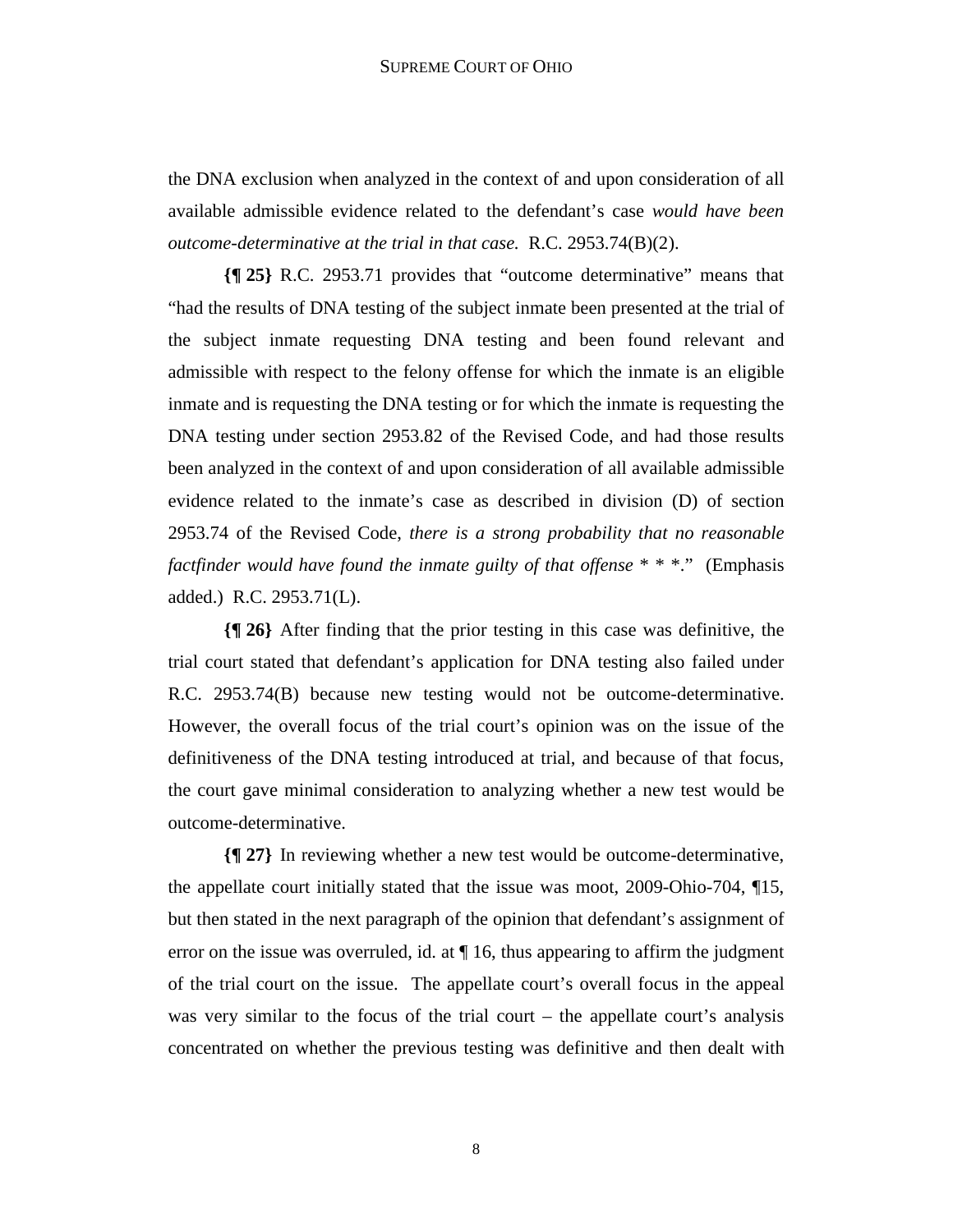the DNA exclusion when analyzed in the context of and upon consideration of all available admissible evidence related to the defendant's case *would have been outcome-determinative at the trial in that case.* R.C. 2953.74(B)(2).

**{¶ 25}** R.C. 2953.71 provides that "outcome determinative" means that "had the results of DNA testing of the subject inmate been presented at the trial of the subject inmate requesting DNA testing and been found relevant and admissible with respect to the felony offense for which the inmate is an eligible inmate and is requesting the DNA testing or for which the inmate is requesting the DNA testing under section 2953.82 of the Revised Code, and had those results been analyzed in the context of and upon consideration of all available admissible evidence related to the inmate's case as described in division (D) of section 2953.74 of the Revised Code, *there is a strong probability that no reasonable factfinder would have found the inmate guilty of that offense* \* \* \*." (Emphasis added.) R.C. 2953.71(L).

**{¶ 26}** After finding that the prior testing in this case was definitive, the trial court stated that defendant's application for DNA testing also failed under R.C. 2953.74(B) because new testing would not be outcome-determinative. However, the overall focus of the trial court's opinion was on the issue of the definitiveness of the DNA testing introduced at trial, and because of that focus, the court gave minimal consideration to analyzing whether a new test would be outcome-determinative.

**{¶ 27}** In reviewing whether a new test would be outcome-determinative, the appellate court initially stated that the issue was moot, 2009-Ohio-704, ¶15, but then stated in the next paragraph of the opinion that defendant's assignment of error on the issue was overruled, id. at  $\P$  16, thus appearing to affirm the judgment of the trial court on the issue. The appellate court's overall focus in the appeal was very similar to the focus of the trial court – the appellate court's analysis concentrated on whether the previous testing was definitive and then dealt with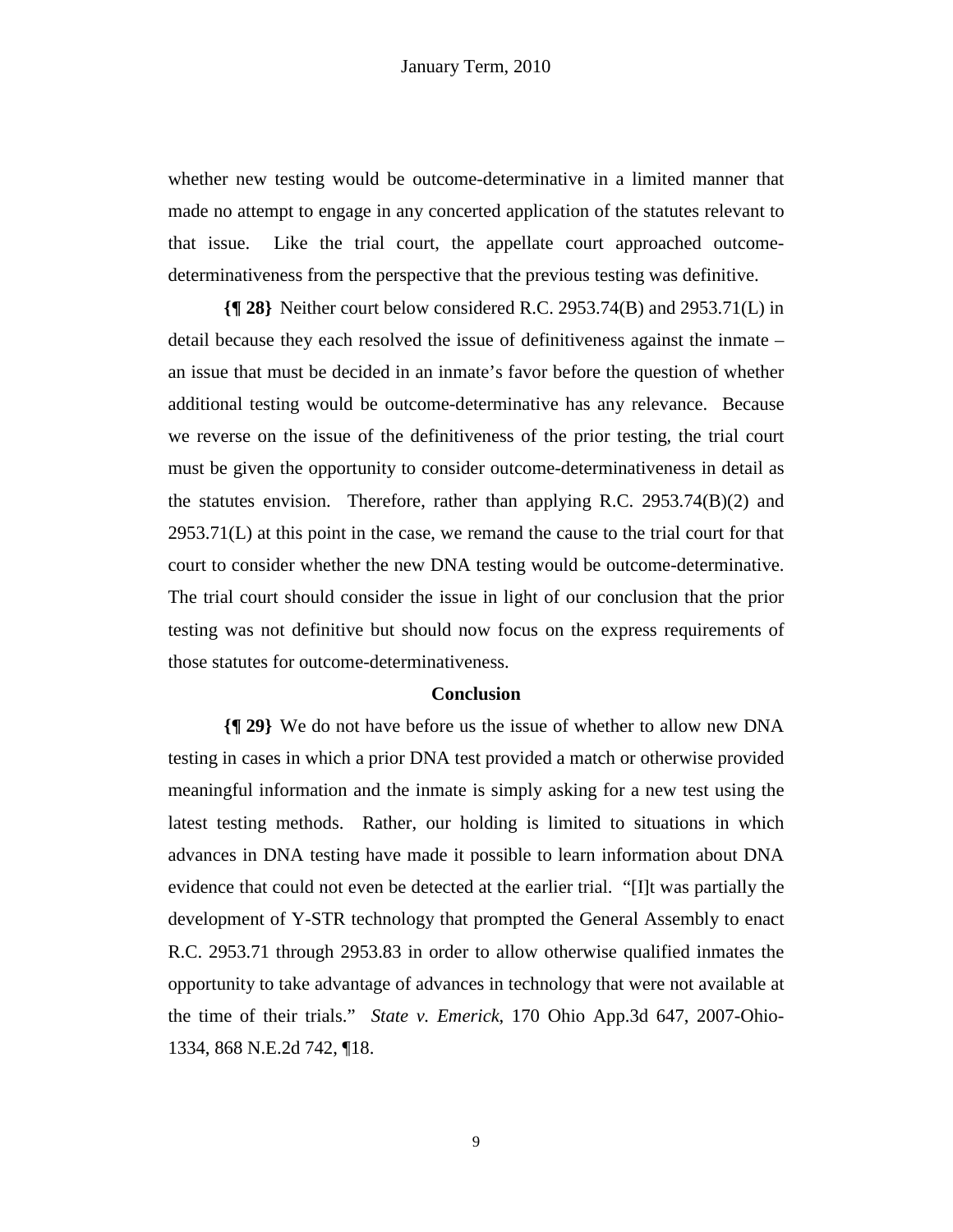whether new testing would be outcome-determinative in a limited manner that made no attempt to engage in any concerted application of the statutes relevant to that issue. Like the trial court, the appellate court approached outcomedeterminativeness from the perspective that the previous testing was definitive.

**{¶ 28}** Neither court below considered R.C. 2953.74(B) and 2953.71(L) in detail because they each resolved the issue of definitiveness against the inmate – an issue that must be decided in an inmate's favor before the question of whether additional testing would be outcome-determinative has any relevance. Because we reverse on the issue of the definitiveness of the prior testing, the trial court must be given the opportunity to consider outcome-determinativeness in detail as the statutes envision. Therefore, rather than applying R.C. 2953.74 $(B)(2)$  and 2953.71(L) at this point in the case, we remand the cause to the trial court for that court to consider whether the new DNA testing would be outcome-determinative. The trial court should consider the issue in light of our conclusion that the prior testing was not definitive but should now focus on the express requirements of those statutes for outcome-determinativeness.

## **Conclusion**

**{¶ 29}** We do not have before us the issue of whether to allow new DNA testing in cases in which a prior DNA test provided a match or otherwise provided meaningful information and the inmate is simply asking for a new test using the latest testing methods. Rather, our holding is limited to situations in which advances in DNA testing have made it possible to learn information about DNA evidence that could not even be detected at the earlier trial. "[I]t was partially the development of Y-STR technology that prompted the General Assembly to enact R.C. 2953.71 through 2953.83 in order to allow otherwise qualified inmates the opportunity to take advantage of advances in technology that were not available at the time of their trials." *State v. Emerick*, 170 Ohio App.3d 647, 2007-Ohio-1334, 868 N.E.2d 742, ¶18.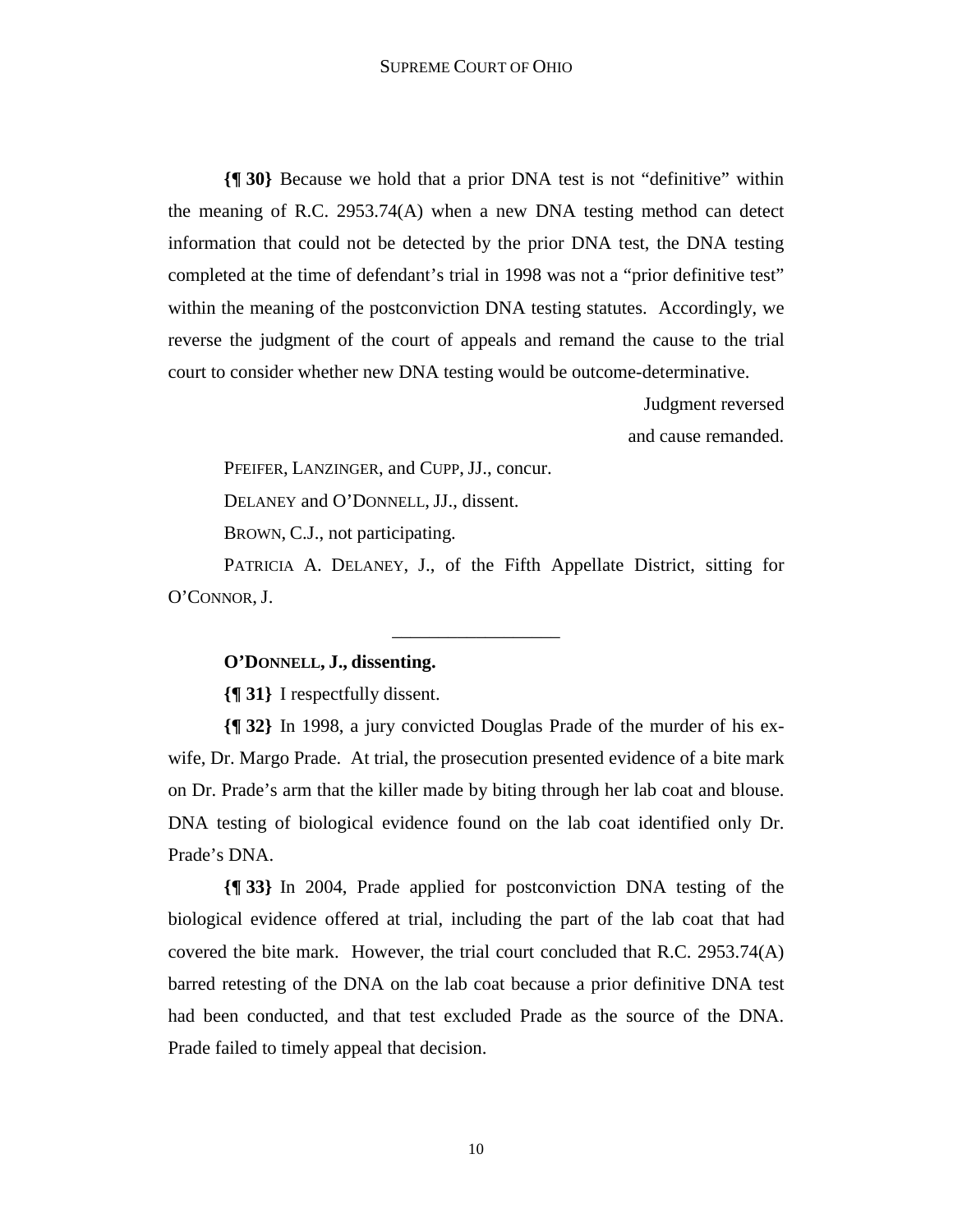**{¶ 30}** Because we hold that a prior DNA test is not "definitive" within the meaning of R.C. 2953.74(A) when a new DNA testing method can detect information that could not be detected by the prior DNA test, the DNA testing completed at the time of defendant's trial in 1998 was not a "prior definitive test" within the meaning of the postconviction DNA testing statutes. Accordingly, we reverse the judgment of the court of appeals and remand the cause to the trial court to consider whether new DNA testing would be outcome-determinative.

> Judgment reversed and cause remanded.

PFEIFER, LANZINGER, and CUPP, JJ., concur.

DELANEY and O'DONNELL, JJ., dissent.

BROWN, C.J., not participating.

 PATRICIA A. DELANEY, J., of the Fifth Appellate District, sitting for O'CONNOR, J.

\_\_\_\_\_\_\_\_\_\_\_\_\_\_\_\_\_\_

# **O'DONNELL, J., dissenting.**

**{¶ 31}** I respectfully dissent.

**{¶ 32}** In 1998, a jury convicted Douglas Prade of the murder of his exwife, Dr. Margo Prade. At trial, the prosecution presented evidence of a bite mark on Dr. Prade's arm that the killer made by biting through her lab coat and blouse. DNA testing of biological evidence found on the lab coat identified only Dr. Prade's DNA.

**{¶ 33}** In 2004, Prade applied for postconviction DNA testing of the biological evidence offered at trial, including the part of the lab coat that had covered the bite mark. However, the trial court concluded that R.C. 2953.74(A) barred retesting of the DNA on the lab coat because a prior definitive DNA test had been conducted, and that test excluded Prade as the source of the DNA. Prade failed to timely appeal that decision.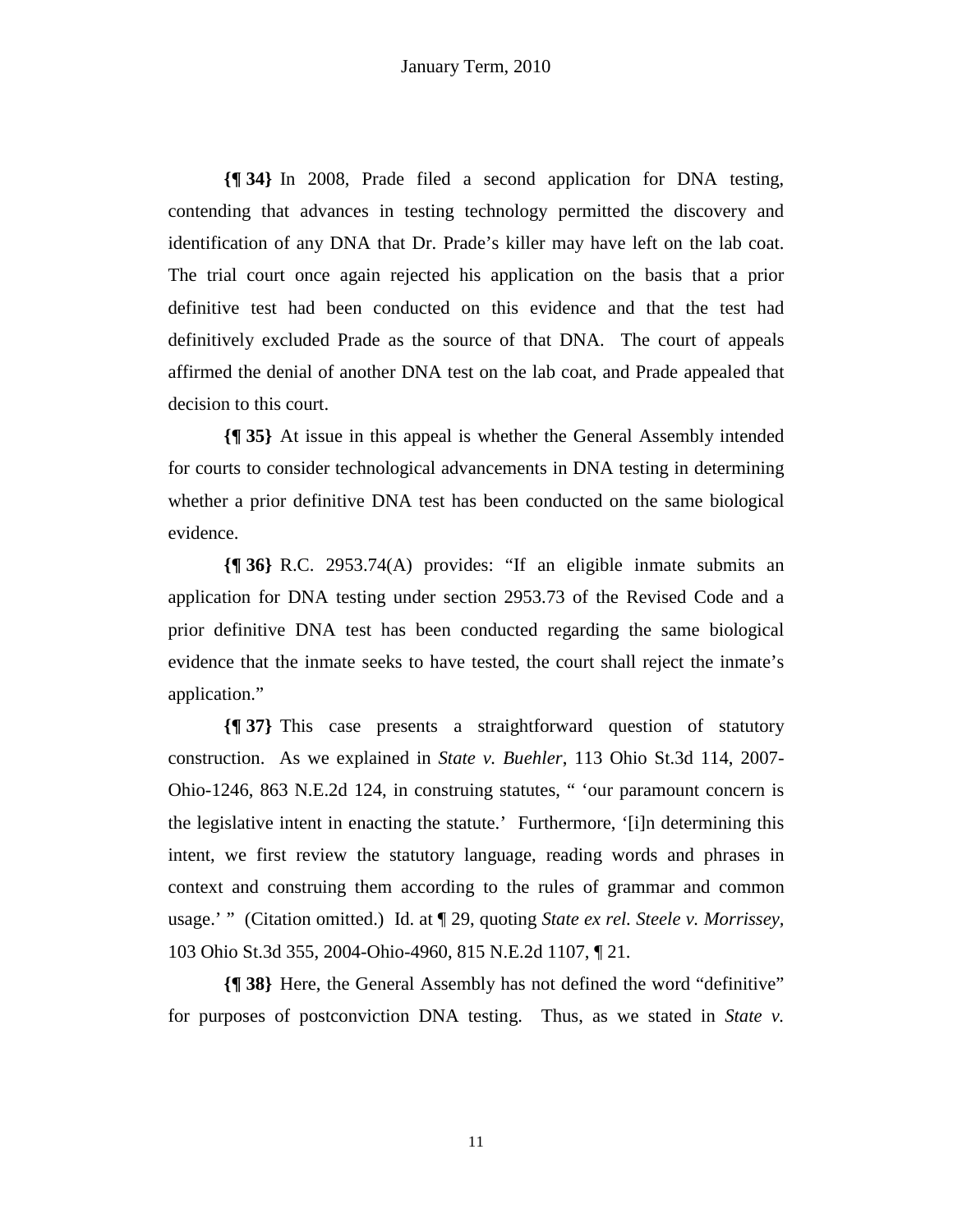**{¶ 34}** In 2008, Prade filed a second application for DNA testing, contending that advances in testing technology permitted the discovery and identification of any DNA that Dr. Prade's killer may have left on the lab coat. The trial court once again rejected his application on the basis that a prior definitive test had been conducted on this evidence and that the test had definitively excluded Prade as the source of that DNA. The court of appeals affirmed the denial of another DNA test on the lab coat, and Prade appealed that decision to this court.

**{¶ 35}** At issue in this appeal is whether the General Assembly intended for courts to consider technological advancements in DNA testing in determining whether a prior definitive DNA test has been conducted on the same biological evidence.

**{¶ 36}** R.C. 2953.74(A) provides: "If an eligible inmate submits an application for DNA testing under section 2953.73 of the Revised Code and a prior definitive DNA test has been conducted regarding the same biological evidence that the inmate seeks to have tested, the court shall reject the inmate's application."

**{¶ 37}** This case presents a straightforward question of statutory construction. As we explained in *State v. Buehler*, 113 Ohio St.3d 114, 2007- Ohio-1246, 863 N.E.2d 124, in construing statutes, " 'our paramount concern is the legislative intent in enacting the statute.' Furthermore, '[i]n determining this intent, we first review the statutory language, reading words and phrases in context and construing them according to the rules of grammar and common usage.' " (Citation omitted.) Id. at ¶ 29, quoting *State ex rel. Steele v. Morrissey,* 103 Ohio St.3d 355, 2004-Ohio-4960, 815 N.E.2d 1107, ¶ 21.

**{¶ 38}** Here, the General Assembly has not defined the word "definitive" for purposes of postconviction DNA testing. Thus, as we stated in *State v.* 

11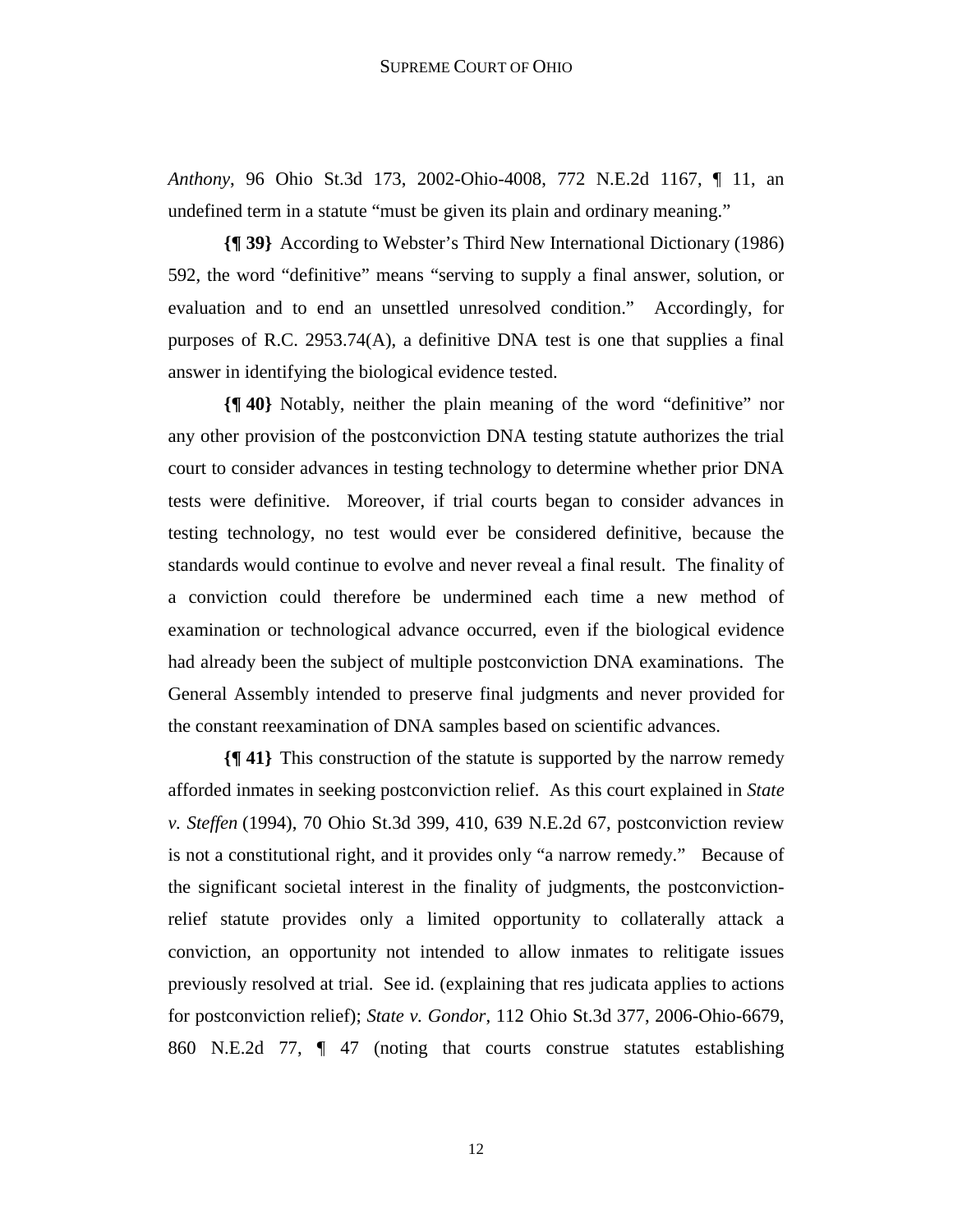*Anthony*, 96 Ohio St.3d 173, 2002-Ohio-4008, 772 N.E.2d 1167, ¶ 11, an undefined term in a statute "must be given its plain and ordinary meaning."

**{¶ 39}** According to Webster's Third New International Dictionary (1986) 592, the word "definitive" means "serving to supply a final answer, solution, or evaluation and to end an unsettled unresolved condition." Accordingly, for purposes of R.C. 2953.74(A), a definitive DNA test is one that supplies a final answer in identifying the biological evidence tested.

**{¶ 40}** Notably, neither the plain meaning of the word "definitive" nor any other provision of the postconviction DNA testing statute authorizes the trial court to consider advances in testing technology to determine whether prior DNA tests were definitive. Moreover, if trial courts began to consider advances in testing technology, no test would ever be considered definitive, because the standards would continue to evolve and never reveal a final result. The finality of a conviction could therefore be undermined each time a new method of examination or technological advance occurred, even if the biological evidence had already been the subject of multiple postconviction DNA examinations. The General Assembly intended to preserve final judgments and never provided for the constant reexamination of DNA samples based on scientific advances.

**{¶ 41}** This construction of the statute is supported by the narrow remedy afforded inmates in seeking postconviction relief. As this court explained in *State v. Steffen* (1994), 70 Ohio St.3d 399, 410, 639 N.E.2d 67, postconviction review is not a constitutional right, and it provides only "a narrow remedy." Because of the significant societal interest in the finality of judgments, the postconvictionrelief statute provides only a limited opportunity to collaterally attack a conviction, an opportunity not intended to allow inmates to relitigate issues previously resolved at trial. See id. (explaining that res judicata applies to actions for postconviction relief); *State v. Gondor*, 112 Ohio St.3d 377, 2006-Ohio-6679, 860 N.E.2d 77, ¶ 47 (noting that courts construe statutes establishing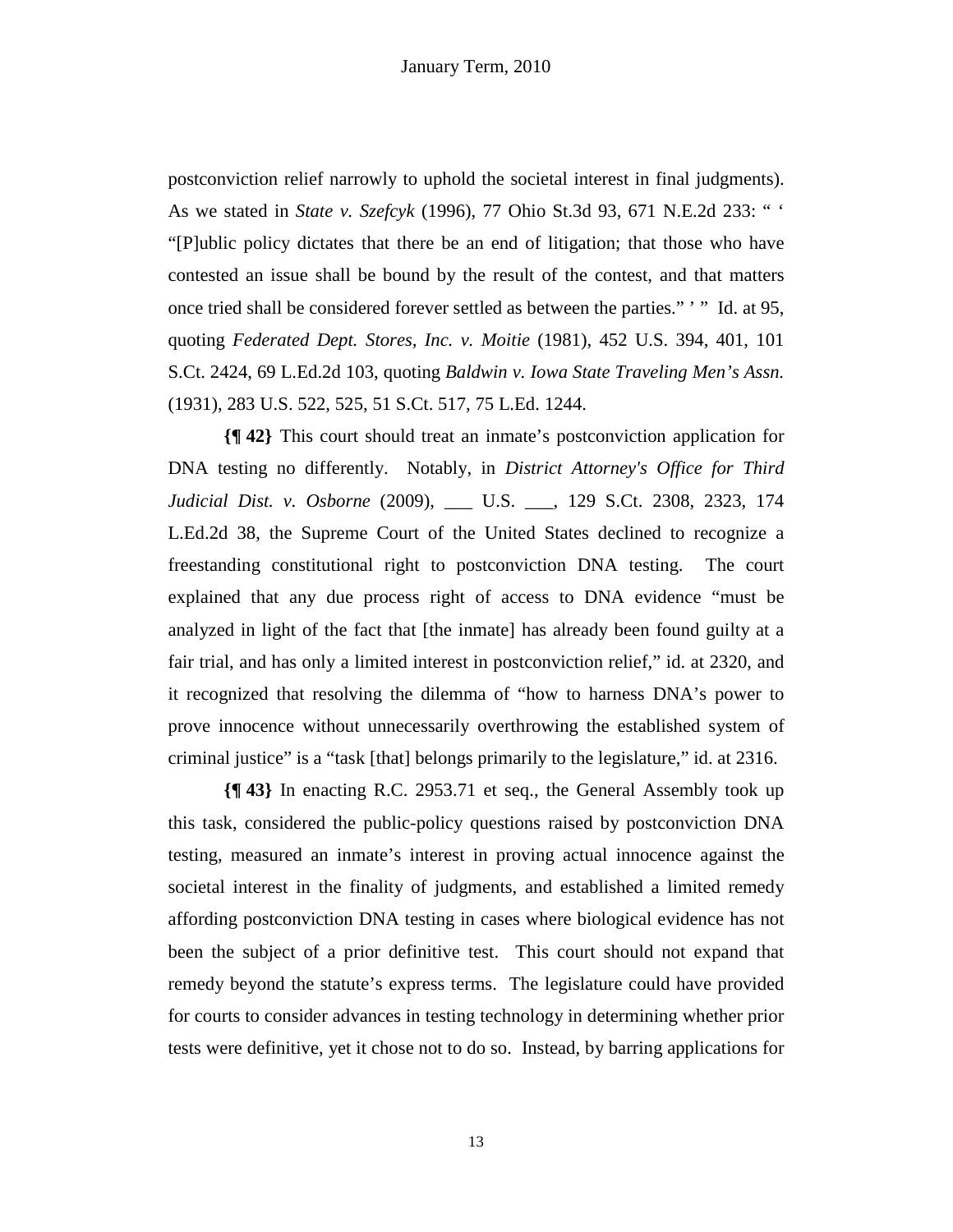postconviction relief narrowly to uphold the societal interest in final judgments). As we stated in *State v. Szefcyk* (1996), 77 Ohio St.3d 93, 671 N.E.2d 233: " ' "[P]ublic policy dictates that there be an end of litigation; that those who have contested an issue shall be bound by the result of the contest, and that matters once tried shall be considered forever settled as between the parties." ' " Id. at 95, quoting *Federated Dept. Stores, Inc. v. Moitie* (1981), 452 U.S. 394, 401, 101 S.Ct. 2424, 69 L.Ed.2d 103, quoting *Baldwin v. Iowa State Traveling Men's Assn.*  (1931), 283 U.S. 522, 525, 51 S.Ct. 517, 75 L.Ed. 1244.

**{¶ 42}** This court should treat an inmate's postconviction application for DNA testing no differently. Notably, in *District Attorney's Office for Third Judicial Dist. v. Osborne* (2009), \_\_\_ U.S. \_\_\_, 129 S.Ct. 2308, 2323, 174 L.Ed.2d 38, the Supreme Court of the United States declined to recognize a freestanding constitutional right to postconviction DNA testing. The court explained that any due process right of access to DNA evidence "must be analyzed in light of the fact that [the inmate] has already been found guilty at a fair trial, and has only a limited interest in postconviction relief," id. at 2320, and it recognized that resolving the dilemma of "how to harness DNA's power to prove innocence without unnecessarily overthrowing the established system of criminal justice" is a "task [that] belongs primarily to the legislature," id. at 2316.

**{¶ 43}** In enacting R.C. 2953.71 et seq., the General Assembly took up this task, considered the public-policy questions raised by postconviction DNA testing, measured an inmate's interest in proving actual innocence against the societal interest in the finality of judgments, and established a limited remedy affording postconviction DNA testing in cases where biological evidence has not been the subject of a prior definitive test. This court should not expand that remedy beyond the statute's express terms. The legislature could have provided for courts to consider advances in testing technology in determining whether prior tests were definitive, yet it chose not to do so. Instead, by barring applications for